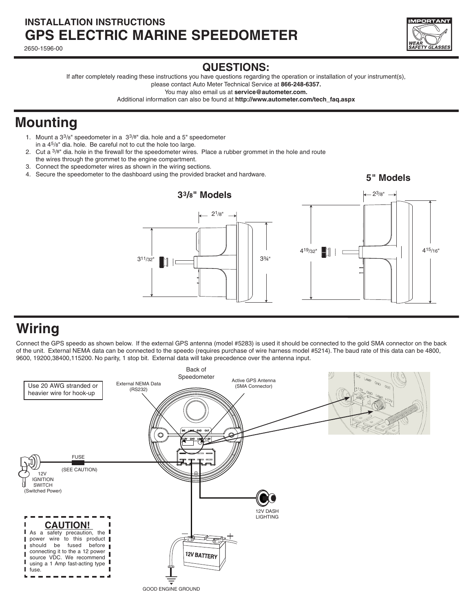#### **INSTALLATION INSTRUCTIONS GPS ELECTRIC MARINE SPEEDOMETER**

2650-1596-00



#### **QUESTIONS:**

If after completely reading these instructions you have questions regarding the operation or installation of your instrument(s), please contact Auto Meter Technical Service at **866-248-6357.**

You may also email us at **service@autometer.com.**

Additional information can also be found at **http://www.autometer.com/tech\_faq.aspx**

## **Mounting**

- 1. Mount a 33/8" speedometer in a 33/8" dia. hole and a 5" speedometer in a 45/8" dia. hole. Be careful not to cut the hole too large.
- 2. Cut a  $3/8$ <sup>"</sup> dia. hole in the firewall for the speedometer wires. Place a rubber grommet in the hole and route the wires through the grommet to the engine compartment.
- 3. Connect the speedometer wires as shown in the wiring sections.
- 4. Secure the speedometer to the dashboard using the provided bracket and hardware.

**5" Models** 



## **Wiring**

Connect the GPS speedo as shown below. If the external GPS antenna (model #5283) is used it should be connected to the gold SMA connector on the back of the unit. External NEMA data can be connected to the speedo (requires purchase of wire harness model #5214). The baud rate of this data can be 4800, 9600, 19200,38400,115200. No parity, 1 stop bit. External data will take precedence over the antenna input.